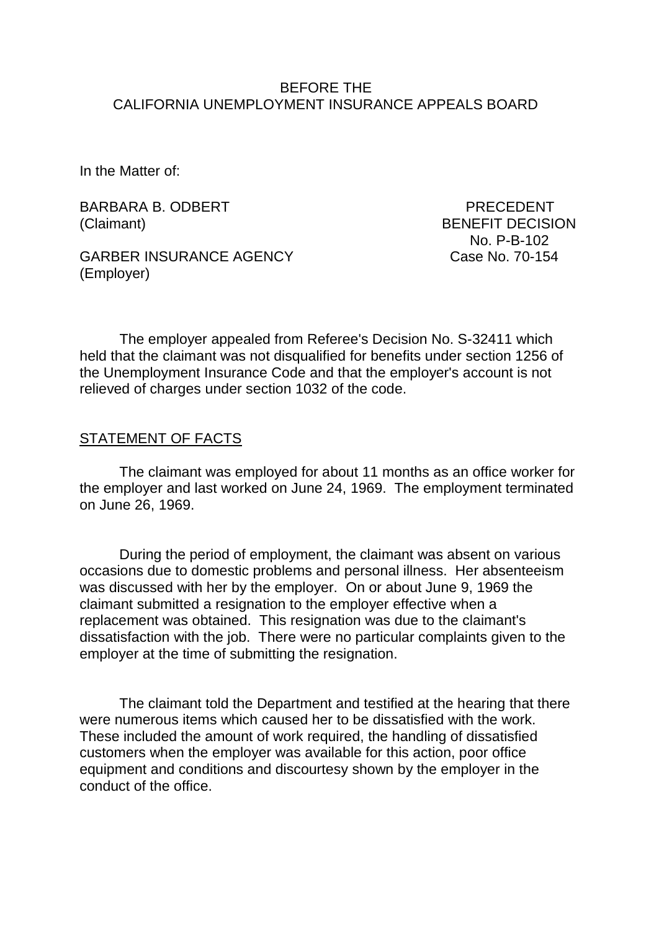#### BEFORE THE CALIFORNIA UNEMPLOYMENT INSURANCE APPEALS BOARD

In the Matter of:

BARBARA B. ODBERT PRECEDENT (Claimant) BENEFIT DECISION

GARBER INSURANCE AGENCY Case No. 70-154 (Employer)

No. P-B-102

The employer appealed from Referee's Decision No. S-32411 which held that the claimant was not disqualified for benefits under section 1256 of the Unemployment Insurance Code and that the employer's account is not relieved of charges under section 1032 of the code.

#### STATEMENT OF FACTS

The claimant was employed for about 11 months as an office worker for the employer and last worked on June 24, 1969. The employment terminated on June 26, 1969.

During the period of employment, the claimant was absent on various occasions due to domestic problems and personal illness. Her absenteeism was discussed with her by the employer. On or about June 9, 1969 the claimant submitted a resignation to the employer effective when a replacement was obtained. This resignation was due to the claimant's dissatisfaction with the job. There were no particular complaints given to the employer at the time of submitting the resignation.

The claimant told the Department and testified at the hearing that there were numerous items which caused her to be dissatisfied with the work. These included the amount of work required, the handling of dissatisfied customers when the employer was available for this action, poor office equipment and conditions and discourtesy shown by the employer in the conduct of the office.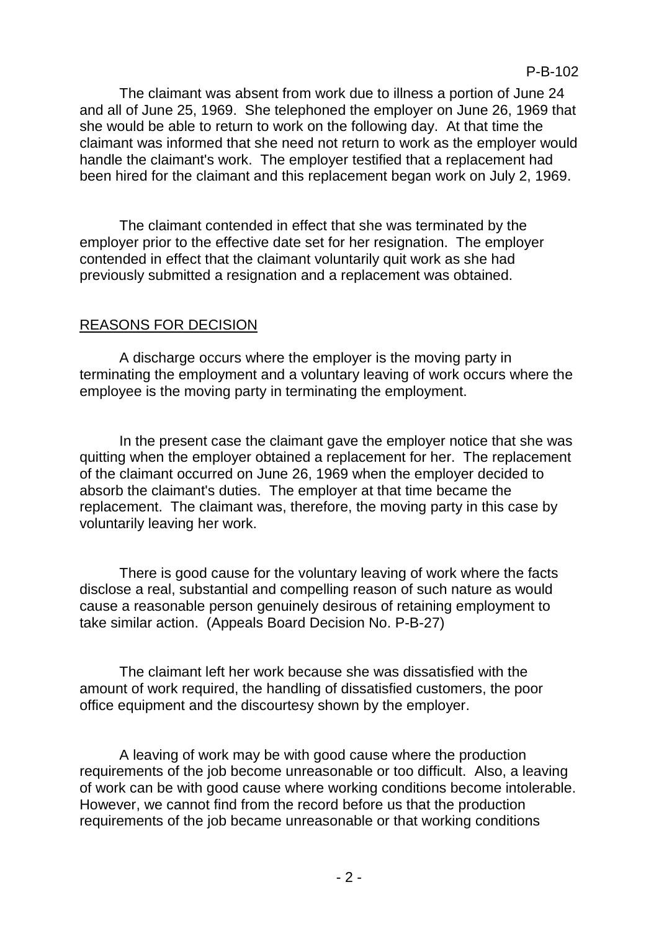The claimant was absent from work due to illness a portion of June 24 and all of June 25, 1969. She telephoned the employer on June 26, 1969 that she would be able to return to work on the following day. At that time the claimant was informed that she need not return to work as the employer would handle the claimant's work. The employer testified that a replacement had been hired for the claimant and this replacement began work on July 2, 1969.

The claimant contended in effect that she was terminated by the employer prior to the effective date set for her resignation. The employer contended in effect that the claimant voluntarily quit work as she had previously submitted a resignation and a replacement was obtained.

## REASONS FOR DECISION

A discharge occurs where the employer is the moving party in terminating the employment and a voluntary leaving of work occurs where the employee is the moving party in terminating the employment.

In the present case the claimant gave the employer notice that she was quitting when the employer obtained a replacement for her. The replacement of the claimant occurred on June 26, 1969 when the employer decided to absorb the claimant's duties. The employer at that time became the replacement. The claimant was, therefore, the moving party in this case by voluntarily leaving her work.

There is good cause for the voluntary leaving of work where the facts disclose a real, substantial and compelling reason of such nature as would cause a reasonable person genuinely desirous of retaining employment to take similar action. (Appeals Board Decision No. P-B-27)

The claimant left her work because she was dissatisfied with the amount of work required, the handling of dissatisfied customers, the poor office equipment and the discourtesy shown by the employer.

A leaving of work may be with good cause where the production requirements of the job become unreasonable or too difficult. Also, a leaving of work can be with good cause where working conditions become intolerable. However, we cannot find from the record before us that the production requirements of the job became unreasonable or that working conditions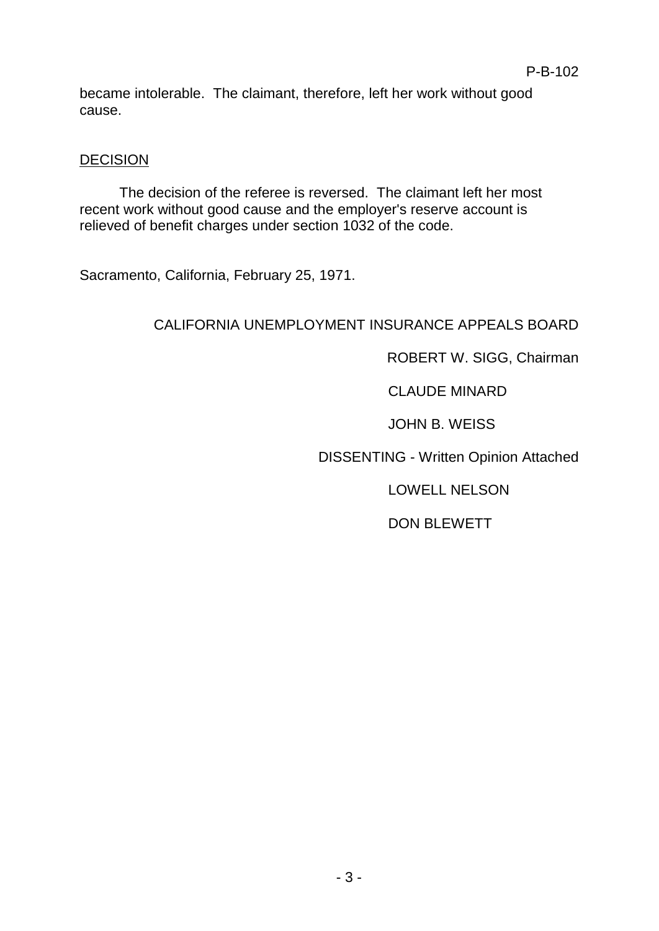became intolerable. The claimant, therefore, left her work without good cause.

#### **DECISION**

The decision of the referee is reversed. The claimant left her most recent work without good cause and the employer's reserve account is relieved of benefit charges under section 1032 of the code.

Sacramento, California, February 25, 1971.

# CALIFORNIA UNEMPLOYMENT INSURANCE APPEALS BOARD

ROBERT W. SIGG, Chairman

CLAUDE MINARD

JOHN B. WEISS

DISSENTING - Written Opinion Attached

LOWELL NELSON

DON BLEWETT